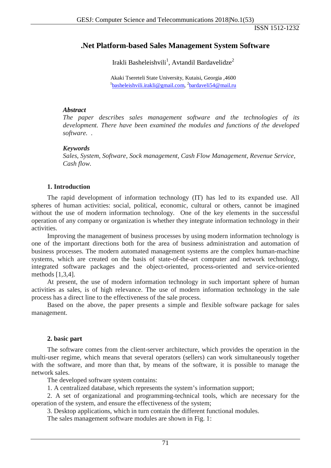ISSN 1512-1232

## **.Net Platform-based Sales Management System Software**

Irakli Basheleishvili<sup>1</sup>, Avtandil Bardavelidze<sup>2</sup>

Akaki Tsereteli State University, Kutaisi, Georgia ,4600 <sup>1</sup>[basheleishvili.irakli@gmail.com,](mailto:basheleishvili.irakli@gmail.com?subject=for_Irakli_Basheleishvili_ID_3478) <sup>2</sup>[bardaveli54@mail.ru](mailto:bardaveli54@mail.ru?subject=for_Avtandil_Bardavelidze_ID_3615)

## *Abstract*

*The paper describes sales management software and the technologies of its development. There have been examined the modules and functions of the developed software.* .

## *Keywords*

*Sales, System, Software, Sock management, Cash Flow Management, Revenue Service, Cash flow.*

## **1. Introduction**

The rapid development of information technology (IT) has led to its expanded use. All spheres of human activities: social, political, economic, cultural or others, cannot be imagined without the use of modern information technology. One of the key elements in the successful operation of any company or organization is whether they integrate information technology in their activities.

Improving the management of business processes by using modern information technology is one of the important directions both for the area of business administration and automation of business processes. The modern automated management systems are the complex human-machine systems, which are created on the basis of state-of-the-art computer and network technology, integrated software packages and the object-oriented, process-oriented and service-oriented methods [1,3,4].

At present, the use of modern information technology in such important sphere of human activities as sales, is of high relevance. The use of modern information technology in the sale process has a direct line to the effectiveness of the sale process.

Based on the above, the paper presents a simple and flexible software package for sales management.

#### **2. basic part**

The software comes from the client-server architecture, which provides the operation in the multi-user regime, which means that several operators (sellers) can work simultaneously together with the software, and more than that, by means of the software, it is possible to manage the network sales.

The developed software system contains:

1. A centralized database, which represents the system's information support;

2. A set of organizational and programming-technical tools, which are necessary for the operation of the system, and ensure the effectiveness of the system;

3. Desktop applications, which in turn contain the different functional modules.

The sales management software modules are shown in Fig. 1: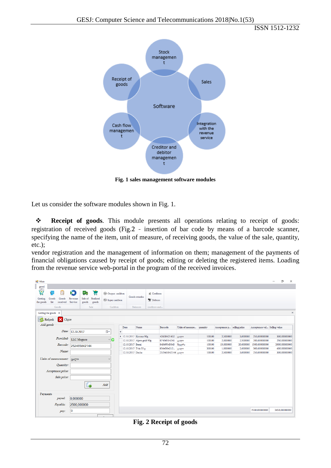ISSN 1512-1232



**Fig. 1 sales management software modules**

Let us consider the software modules shown in Fig. 1.

 **Receipt of goods**. This module presents all operations relating to receipt of goods: registration of received goods (Fig.2 - insertion of bar code by means of a barcode scanner, specifying the name of the item, unit of measure, of receiving goods, the value of the sale, quantity, etc.);

vendor registration and the management of information on them; management of the payments of financial obligations caused by receipt of goods; editing or deleting the registered items. Loading from the revenue service web-portal in the program of the received invoices.

| <b>Ig</b> Main                 |                                              |                                             |                                                  |                                                                |                     |                  |                           |                                              |                    |                           |        |                            |           |                              | σ             | $\times$    |
|--------------------------------|----------------------------------------------|---------------------------------------------|--------------------------------------------------|----------------------------------------------------------------|---------------------|------------------|---------------------------|----------------------------------------------|--------------------|---------------------------|--------|----------------------------|-----------|------------------------------|---------------|-------------|
| panel                          |                                              |                                             |                                                  |                                                                |                     |                  |                           |                                              |                    |                           |        |                            |           |                              |               |             |
| P<br>启<br>Getting<br>the goods | ⊡<br>Æ<br>Goods<br>Goods<br>list<br>received | $\blacktriangleright$<br>Revenue<br>Service | ۴<br>ķВ<br>Sale of<br>Realized<br>goods<br>goods | <sup>(H)</sup> Output cashbox<br><sup>(14)</sup> Input cashbox |                     |                  | Goods remains             | <b>R</b> Creditors<br><sup>6</sup> K Debtors |                    |                           |        |                            |           |                              |               |             |
|                                | Goods                                        |                                             | Sale                                             | Cashbox                                                        |                     |                  | Balances                  | creditors and                                |                    |                           |        |                            |           |                              |               |             |
|                                | Getting the goods $\times$                   |                                             |                                                  |                                                                |                     |                  |                           |                                              |                    |                           |        |                            |           |                              |               | $\mathbb X$ |
| D                              | X Close<br>Refresh                           |                                             |                                                  |                                                                |                     |                  |                           |                                              |                    |                           |        |                            |           |                              |               |             |
| Add goods                      |                                              |                                             |                                                  |                                                                |                     |                  |                           |                                              |                    |                           |        |                            |           |                              |               |             |
|                                |                                              |                                             |                                                  |                                                                |                     | Date             | Name                      |                                              | Barcode            | Units of measure quantity |        | Acceptance p selling price |           | Acceptance val Selling value |               |             |
|                                | Date:                                        | 12.10.2017                                  |                                                  | $\blacksquare$                                                 | $\ddot{\mathbf{r}}$ |                  |                           |                                              |                    |                           |        |                            |           |                              |               |             |
|                                | Provided:                                    |                                             |                                                  |                                                                |                     |                  | ▶ 12.10.2017 Korona 90g   |                                              | 42658421452 ცალი   |                           | 100.00 | 2.500000                   | 3.000000  | 250.00000000                 | 300.00000000  |             |
|                                |                                              | <b>LLC</b> Megaco                           |                                                  | ۰o                                                             |                     |                  | 12.10.2017 Alpen gold 90g |                                              | 87456514241 ცალი   |                           | 100.00 | 2.000000                   | 2.500000  | 200.00000000                 | 250.00000000  |             |
|                                | Barcode:                                     |                                             | 252465842144                                     |                                                                |                     | 12.10.2017 Barni |                           |                                              | 84569545845 შეკვრა |                           | 100.00 | 15.000000                  | 20.000000 | 1500.00000000                | 2000.00000000 |             |
|                                | Name:                                        |                                             |                                                  |                                                                |                     |                  | 12.10.2017 Tvix 55 g      |                                              | 8564584212 ცალი    |                           | 300,00 | 1,000000                   | 2,000000  | 300,00000000                 | 600,00000000  |             |
|                                |                                              |                                             |                                                  |                                                                |                     | 12.10.2017 Dacha |                           |                                              | 252465842144 ცალი  |                           | 100.00 | 2.500000                   | 3.000000  | 250.00000000                 | 300.00000000  |             |
|                                | Units of measurement:                        | <b>B</b> scho                               |                                                  | $\sim$                                                         |                     |                  |                           |                                              |                    |                           |        |                            |           |                              |               |             |
|                                | Quantity:                                    |                                             |                                                  |                                                                |                     |                  |                           |                                              |                    |                           |        |                            |           |                              |               |             |
|                                | Acceptance price:                            |                                             |                                                  |                                                                |                     |                  |                           |                                              |                    |                           |        |                            |           |                              |               |             |
|                                | Sale price:                                  |                                             |                                                  |                                                                |                     |                  |                           |                                              |                    |                           |        |                            |           |                              |               |             |
|                                |                                              |                                             | Ó                                                | Add                                                            |                     |                  |                           |                                              |                    |                           |        |                            |           |                              |               |             |
| Payments                       |                                              |                                             |                                                  |                                                                |                     |                  |                           |                                              |                    |                           |        |                            |           |                              |               |             |
|                                | payed:                                       | 0,000000                                    |                                                  |                                                                |                     |                  |                           |                                              |                    |                           |        |                            |           |                              |               |             |
|                                | Payable:                                     | 2500,000000                                 |                                                  |                                                                |                     |                  |                           |                                              |                    |                           |        |                            |           |                              |               |             |
|                                | pay:                                         | 10                                          |                                                  |                                                                |                     |                  |                           |                                              |                    |                           |        |                            |           | 2500,00000000                | 3450,00000000 |             |

**Fig. 2 Receipt of goods**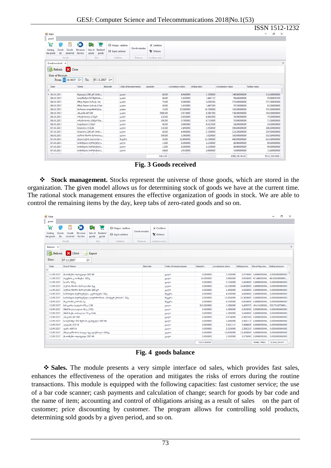| Main                                                                 |                                                   |                        |                                                            |                 |                                 |                  |                  |                           | ISSN 1512-1232<br>o<br>×   |
|----------------------------------------------------------------------|---------------------------------------------------|------------------------|------------------------------------------------------------|-----------------|---------------------------------|------------------|------------------|---------------------------|----------------------------|
| panel                                                                |                                                   |                        |                                                            |                 |                                 |                  |                  |                           |                            |
| ਵ<br>图<br>Goods<br>Getting<br>Goods<br>list<br>received<br>the goods | ⋗<br>мp<br>Revenue<br>Sale of<br>Service<br>goods | Έ<br>Realized<br>goods | <sup>64</sup> Output cashbox<br><sup>6</sup> Input cashbox | Goods remains   | <b>x</b> Creditors<br>X Debtors |                  |                  |                           |                            |
| Goods                                                                | Sale                                              |                        | Cashbox                                                    | <b>Balances</b> | creditors and                   |                  |                  |                           |                            |
| Goods received X<br>Refresh<br>Date of Receipt:                      | Close                                             | 07.11.2017 ■           |                                                            |                 |                                 |                  |                  |                           |                            |
| From: 02.10.2017     v<br>Date<br>$\tilde{\mathbf{v}}$               | To:<br>Name                                       | Barcode                | Units of measurement                                       |                 | quandry                         | Acceptance price | selling price    | Acceptance value          | $\bullet$<br>Selling value |
| $\triangleright$ 06.10.2017                                          | ნუთელა 200 გრ. მინი                               |                        | garmo                                                      |                 | 30.00                           | 4.960000         | 5.100000         | 148.80000000              | 153.00000000               |
| 06.10.2017                                                           | brimBodan Ni2 შვრიის                              |                        | <b>G</b> smn                                               |                 | 36.00                           | 1,630000         | 1.661112         | 58.68000000               | 59.80003200                |
| 06.10.2017                                                           | მზეს ზეთი ბარაქა 1ლ                               |                        | Gomn                                                       |                 | 75.00                           | 3.000000         | 3.033334         | 225.00000000              | 227.50005000               |
| 06.10.2017                                                           | მზეს ზეთი ბარაქა 0.5ლ                             |                        | Gotton                                                     |                 | 48.00                           | 1,650000         | 1.687500         | 79.20000000               | 81.00000000                |
| 06.10.2017                                                           | მარილი იოდიზირებუ                                 |                        | segana                                                     |                 | 10.00                           | 10.000000        | 10.200000        | 100.00000000              | 102.00000000               |
| 06.10.2017                                                           | abaznãn 60°100                                    |                        | <b>Garma</b>                                               |                 | 2000.00                         | 0.374000         | 0.381500         | 748.00000000              | 763.00000000               |
| 06.10.2017                                                           | ორცხობილა 170გრ                                   |                        | <b>G</b> Semo                                              |                 | 120.00                          | 0.650000         | 0.662500         | 78.00000000               | 79.50000000                |
| 06.10.2017                                                           | ორცხობილა 160გრ მტ                                |                        | eseme                                                      |                 | 100.00                          | 0.700000         | 0.715000         | 70.00000000               | 71.50000000                |
| 06.10.2017                                                           | საფანელი 170გრ                                    |                        | eseme                                                      |                 | 40.00                           | 0.600000         | 0.612500         | 24.00000000               | 24.50000000                |
| 07.10.2017                                                           | წუთელა T1X24                                      |                        | <b>B</b> >mo                                               |                 | 120.00                          | 2.490000         | 2,550000         | 298.80000000              | 306.00000000               |
| 07.10.2017                                                           | წლთელა 200 გრ. მინი                               |                        | <b>G</b> Semo                                              |                 | 45.00                           | 4.960000         | 5.100000         | 223.20000000              | 229.50000000               |
| 06.10.2017                                                           | პურის ჩხირი მარილია                               |                        | garren                                                     |                 | 100.00                          | 1.000000         | 1.020000         | 100.00000000              | 102.00000000               |
| 07.10.2017                                                           | ტუალეტის ქაღალდი                                  |                        | agges                                                      |                 | 50.00                           | 12.800000        | 13.100000        | 640.00000000              | 655.00000000               |
| 07.10.2017                                                           | სიმინდის ბურბუშელ                                 |                        | <b>Garrists</b>                                            |                 | 12.00                           | 3.200000         | 3.250000         | 38.40000000               | 39.00000000                |
| 07.10.2017                                                           | სიმინდის ბურბუშელ                                 |                        | <b>Useron</b>                                              |                 | 12.00                           | 3.200000         | 3.250000         | 38.40000000               | 39.00000000                |
| 07.10.2017                                                           | სიმინდის ბურბუშელ                                 |                        | Garren                                                     |                 | 24.00                           | 2.950000         | 3.000000         | 70.80000000               | 72.00000000                |
| an an naam                                                           | .                                                 |                        |                                                            |                 | 28.88                           | <b>B.BPARRA</b>  | <b>B. SABAAS</b> | <i><b>AMM ABARAAA</b></i> | LAR ARRARAR                |
|                                                                      |                                                   |                        |                                                            |                 | 44631.00                        |                  |                  | 67862,56140100            | 70412,39314900             |

**Fig. 3 Goods received**

 **Stock management.** Stocks represent the universe of those goods, which are stored in the organization. The given model allows us for determining stock of goods we have at the current time. The rational stock management ensures the effective organization of goods in stock. We are able to control the remaining items by the day, keep tabs of zero-rated goods and so on.

| all Main                                        |                                                                       |                                             |                                                                 |                      |                                      |                      |            |                  |               |                                     | σ              |  |
|-------------------------------------------------|-----------------------------------------------------------------------|---------------------------------------------|-----------------------------------------------------------------|----------------------|--------------------------------------|----------------------|------------|------------------|---------------|-------------------------------------|----------------|--|
| panel                                           |                                                                       |                                             |                                                                 |                      |                                      |                      |            |                  |               |                                     |                |  |
| 京<br>Œ<br>Getting<br>Goods<br>list<br>the goods | ⊡<br>$\blacktriangleright$<br>Goods<br>Revenue<br>received<br>Service | МB<br>Realized<br>Sale of<br>goods<br>goods | <sup>(14)</sup> Output cashbox<br><sup>(14)</sup> Input cashbox | <b>Goods remains</b> | *Creditors<br><sup>O</sup> K Debtors |                      |            |                  |               |                                     |                |  |
|                                                 | Goods                                                                 | Sale                                        | Cashbox                                                         | <b>Balances</b>      | creditors and                        |                      |            |                  |               |                                     |                |  |
| Balance X                                       |                                                                       |                                             |                                                                 |                      |                                      |                      |            |                  |               |                                     |                |  |
| $\mathcal{L}$<br>Refresh<br>Date:               | X Close<br>07.11.2017                                                 | Export<br>⊞▼                                |                                                                 |                      |                                      |                      |            |                  |               |                                     |                |  |
| Date                                            | Good Name                                                             |                                             |                                                                 | Barcode              |                                      | Units of measurement | Ouantity   | Acceptance price | Selling price | Receiving mo Selling amount         |                |  |
| 11.09.2017                                      |                                                                       |                                             |                                                                 |                      |                                      |                      | 0.000000   | 1,550000         | 1.575000      | 0.000000000 0.000000000000          |                |  |
| 11.09.2017                                      | მაიოწეზი ოლივკოვი 200'40<br>თევზის კ. თინუსი 185გ                     |                                             |                                                                 |                      |                                      | ცალი<br><b>B</b> amo | 16.000000  | 2.980000         | 3.050000      | 47.68000000 48.8000000000           |                |  |
| 11.09.2017                                      | საირა 185x                                                            |                                             |                                                                 |                      |                                      | ცალი                 | 0.000000   | 2.550000         | 2,600000      | 0.000000000 0.000000000000          |                |  |
| 11.09.2017                                      | პურის ჩხირი მარილიანი 4კგ                                             |                                             |                                                                 |                      |                                      | ყუთი                 | 0.000000   | 16.500000        | 16.800000     | 0.000000000 0.0000000000000         |                |  |
| 11.09.2017                                      | პურის ჩხირი მარილიანი 200 გრ                                          |                                             |                                                                 |                      |                                      | ცალი                 | 0.000000   | 1.000000         | 1.020000      | 0.000000000 0.0000000000000         |                |  |
| 12.09.2017                                      | სიმიწდის ბურბუშელა "ცეროდეწა"20ც                                      |                                             |                                                                 |                      |                                      | შეკვრა               | 0.000000   | 4.500000         | 4.600000      | 0.0000000000 0.0000000000000        |                |  |
| 12.09.2017                                      | სიმინდის ბურბუშელა სიურპრიზით "მისტერ კრისპო" 20ც                     |                                             |                                                                 |                      |                                      | შეკვრა               | 0.000000   | 15,000000        | 15,300000     | 0.000000000 0.000000000000          |                |  |
| 13.09.2017                                      | მაკარონი კორონა 5კ                                                    |                                             |                                                                 |                      |                                      | შეკვრა               | 0.000000   | 6.500000         | 6.650000      | 0.000000000 0.000000000000          |                |  |
| 12.09.2017                                      | სწიკერსი სუპერი 95 გ (128                                             |                                             |                                                                 |                      |                                      | ცალი                 | 313.000000 | 1.580000         | 1.609375      | 494.5400000 503.734375000           |                |  |
| 12.09.2017                                      | მ&მ შოკოლადით 45 გ (192)                                              |                                             |                                                                 |                      |                                      | ცალი                 | 0.000000   | 1.030000         | 1.050000      | 0.000000000 0.000000000000          |                |  |
| 12.09.2017                                      | მ&მ მაქსი თხილით 70 გ (144)                                           |                                             |                                                                 |                      |                                      | <b>B</b> acho        | 0.000000   | 1.580000         | 1.600000      | 0.0000000000 0.0000000000000        |                |  |
| 12.09.2017                                      | აწავომი 60'100                                                        |                                             |                                                                 |                      |                                      | ცალი                 | 0.000000   | 0.374000         | 0.381500      | 0,000000000 0,000000000000          |                |  |
| 12.09.2017                                      | სოლწიშვო №2 შვრიის ფანტელი 500°18                                     |                                             |                                                                 |                      |                                      | ცალი                 | 0.000000   | 1.630000         |               | 1.661112 0.000000000 0.000000000000 |                |  |
| 12.09.2017                                      | უსტამი 0.5*18                                                         |                                             |                                                                 |                      |                                      | <b>Garmo</b>         | 0.000000   | 2.361112         | 2.388889      | 0.000000000 0.000000000000          |                |  |
| 12.09.2017                                      | rosBs 400°16                                                          |                                             |                                                                 |                      |                                      | ცალი                 | 0.000000   | 2.250000         | 2.281250      | 0.000000000 0.000000000000          |                |  |
| 12.09.2017                                      |                                                                       | მზესუმზირის ხალვა 4კგ (დაჭრილი-500გ)        |                                                                 |                      |                                      | ყუთი                 | 0.000000   | 13.000000        | 13.300000     | $0.000000000$ 0.0000000000000       |                |  |
| 12.09.2017                                      | მაიონეზი ოლივკოვი 200*40                                              |                                             |                                                                 |                      |                                      | ცალი                 | 0.000000   | 1,550000         | 1.575000      | 0.000000000                         | 0.000000000000 |  |
| .                                               |                                                                       |                                             |                                                                 |                      |                                      |                      | .          | --------         |               |                                     |                |  |

**Fig. 4 goods balance**

 **Sales.** The module presents a very simple interface od sales, which provides fast sales, enhances the effectiveness of the operation and mitigates the risks of errors during the routine transactions. This module is equipped with the following capacities: fast customer service; the use of a bar code scanner; cash payments and calculation of change; search for goods by bar code and the name of item; accounting and control of obligations arising as a result of sales on the part of customer; price discounting by customer. The program allows for controlling sold products, determining sold goods by a given period, and so on.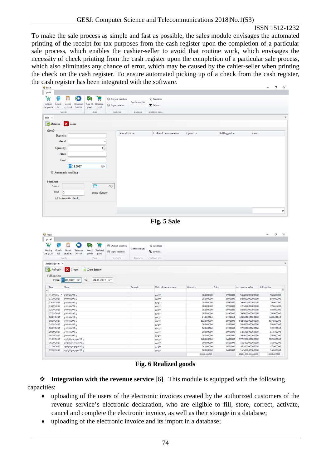#### ISSN 1512-1232

To make the sale process as simple and fast as possible, the sales module envisages the automated printing of the receipt for tax purposes from the cash register upon the completion of a particular sale process, which enables the cashier-seller to avoid that routine work, which envisages the necessity of check printing from the cash register upon the completion of a particular sale process, which also eliminates any chance of error, which may be caused by the cahier-seller when printing the check on the cash register. To ensure automated picking up of a check from the cash register, the cash register has been integrated with the software.

|                                                                                                                                                                                                                                                                                                                         |                                                                  |                                |               |                                |                           |                      |                                       | ο                         |
|-------------------------------------------------------------------------------------------------------------------------------------------------------------------------------------------------------------------------------------------------------------------------------------------------------------------------|------------------------------------------------------------------|--------------------------------|---------------|--------------------------------|---------------------------|----------------------|---------------------------------------|---------------------------|
| panel                                                                                                                                                                                                                                                                                                                   |                                                                  |                                |               |                                |                           |                      |                                       |                           |
| 京<br>F                                                                                                                                                                                                                                                                                                                  | ⊠<br>ķв                                                          |                                |               |                                |                           |                      |                                       |                           |
|                                                                                                                                                                                                                                                                                                                         | u                                                                | <b><i>D</i></b> Output cashbox | Goods remains | *Creditors                     |                           |                      |                                       |                           |
| Getting<br>Goods<br>Goods<br>the goods<br>list<br>received                                                                                                                                                                                                                                                              | Revenue<br>Sale of Realized<br>Service<br>${\tt goods}$<br>goods | <sup>(14)</sup> Input cashbox  |               | Y Debtors                      |                           |                      |                                       |                           |
| Goods                                                                                                                                                                                                                                                                                                                   | Sale                                                             | Cashbox                        | Balances      | creditors and.                 |                           |                      |                                       |                           |
|                                                                                                                                                                                                                                                                                                                         |                                                                  |                                |               |                                |                           |                      |                                       |                           |
| $\boldsymbol{\times}$                                                                                                                                                                                                                                                                                                   |                                                                  |                                |               |                                |                           |                      |                                       |                           |
| X Close<br>Refresh                                                                                                                                                                                                                                                                                                      |                                                                  |                                |               |                                |                           |                      |                                       |                           |
| Goods                                                                                                                                                                                                                                                                                                                   |                                                                  |                                |               |                                |                           |                      |                                       |                           |
| Barcode:                                                                                                                                                                                                                                                                                                                |                                                                  | Good Name                      |               | Units of measurement           | Quantity                  | Selling price        | Cost                                  |                           |
|                                                                                                                                                                                                                                                                                                                         |                                                                  |                                |               |                                |                           |                      |                                       |                           |
| Good:                                                                                                                                                                                                                                                                                                                   |                                                                  | $\ddot{\phantom{0}}$           |               |                                |                           |                      |                                       |                           |
| Quantity:                                                                                                                                                                                                                                                                                                               | $1\frac{1}{2}$                                                   |                                |               |                                |                           |                      |                                       |                           |
| Price:                                                                                                                                                                                                                                                                                                                  |                                                                  |                                |               |                                |                           |                      |                                       |                           |
|                                                                                                                                                                                                                                                                                                                         |                                                                  |                                |               |                                |                           |                      |                                       |                           |
| Cost:                                                                                                                                                                                                                                                                                                                   |                                                                  |                                |               |                                |                           |                      |                                       |                           |
| 07.11.2017                                                                                                                                                                                                                                                                                                              | U,                                                               |                                |               |                                |                           |                      |                                       |                           |
| ☑ Automatic handling                                                                                                                                                                                                                                                                                                    |                                                                  |                                |               |                                |                           |                      |                                       |                           |
|                                                                                                                                                                                                                                                                                                                         |                                                                  |                                |               |                                |                           |                      |                                       |                           |
| Payments                                                                                                                                                                                                                                                                                                                |                                                                  |                                |               |                                |                           |                      |                                       |                           |
| Sum:                                                                                                                                                                                                                                                                                                                    | Р                                                                | Pay                            |               |                                |                           |                      |                                       |                           |
|                                                                                                                                                                                                                                                                                                                         |                                                                  |                                |               |                                |                           |                      |                                       |                           |
| Pay:<br>$\overline{0}$                                                                                                                                                                                                                                                                                                  | noun change:                                                     |                                |               |                                |                           |                      |                                       |                           |
| ⊠ Automatic check                                                                                                                                                                                                                                                                                                       |                                                                  |                                |               |                                |                           |                      |                                       |                           |
|                                                                                                                                                                                                                                                                                                                         |                                                                  |                                |               |                                |                           |                      |                                       |                           |
|                                                                                                                                                                                                                                                                                                                         |                                                                  |                                |               |                                |                           |                      |                                       |                           |
|                                                                                                                                                                                                                                                                                                                         |                                                                  |                                |               |                                |                           |                      |                                       |                           |
|                                                                                                                                                                                                                                                                                                                         |                                                                  |                                |               |                                |                           |                      |                                       |                           |
| panel<br>٢<br>Goods<br>Goods<br>Getting                                                                                                                                                                                                                                                                                 | ⋗<br>۷R<br>Revenue<br>Sale of<br>Realized                        | <b>E</b> Output cashbox        | Goods remains | * Creditors                    |                           |                      |                                       |                           |
| $\mathop{\rm list}$<br>received<br>the goods                                                                                                                                                                                                                                                                            | Service<br>goods<br>goods                                        | <sup>(+)</sup> Input cashbox   |               | Thebtors                       |                           |                      |                                       |                           |
| Goods                                                                                                                                                                                                                                                                                                                   | Sala                                                             | Cashbox                        | Balances      |                                |                           |                      |                                       |                           |
| $\mathbf{x}$                                                                                                                                                                                                                                                                                                            |                                                                  |                                |               | creditors and.                 |                           |                      |                                       |                           |
|                                                                                                                                                                                                                                                                                                                         |                                                                  |                                |               |                                |                           |                      |                                       |                           |
|                                                                                                                                                                                                                                                                                                                         |                                                                  |                                |               |                                |                           |                      |                                       |                           |
| $\boldsymbol{\mathsf{x}}$<br>Close                                                                                                                                                                                                                                                                                      | Data Export                                                      |                                |               |                                |                           |                      |                                       |                           |
|                                                                                                                                                                                                                                                                                                                         |                                                                  |                                |               |                                |                           |                      |                                       |                           |
| From: 01.08.2017 D-                                                                                                                                                                                                                                                                                                     | 08.11.2017 ■<br>To:                                              |                                |               |                                |                           |                      |                                       |                           |
| Name                                                                                                                                                                                                                                                                                                                    |                                                                  |                                | Barcode       | Units of measurement           | Quantity                  | Price                | Acceptance value                      | Selling value             |
|                                                                                                                                                                                                                                                                                                                         |                                                                  |                                |               |                                |                           |                      |                                       |                           |
|                                                                                                                                                                                                                                                                                                                         |                                                                  |                                |               | Garmo                          | 28,000000                 | 1.990000             | 54.600000000000                       | 55,600000                 |
| Jevfields 90 a                                                                                                                                                                                                                                                                                                          |                                                                  |                                |               | Gumn                           | 28,000000                 | 1,990000             | 54.600000000000                       | 55,600000                 |
| grafientis 90 g                                                                                                                                                                                                                                                                                                         |                                                                  |                                |               | முறை                           | 28.000000                 | 1.990000             | 54.600000000000                       | 55.600000                 |
| genfields 90 a                                                                                                                                                                                                                                                                                                          |                                                                  |                                |               | game                           | 10.000000                 | 1,990000             | 19.500000000000                       | 19,860000                 |
| amfimitis 90 a<br>gentherities 90 a                                                                                                                                                                                                                                                                                     |                                                                  |                                |               | Gorma                          | 28.000000<br>28.000000    | 1.990000<br>1,990000 | 54.600000000000<br>54.600000000000    | 55,600000<br>55,600000    |
| gentlerdia 90 a                                                                                                                                                                                                                                                                                                         |                                                                  |                                |               | <b>B</b> Sean<br><b>Godina</b> | 84.000000                 | 1,990000             | 163.800000000000                      | 166.800000                |
| genfields 90 a                                                                                                                                                                                                                                                                                                          |                                                                  |                                |               | (Pyliat)                       | 432.000000                | 1.990000             | 842.400000000000                      | 857.830000                |
| grafientis 90 a                                                                                                                                                                                                                                                                                                         |                                                                  |                                |               | Gorma                          | 28.000000                 | 1,990000             | 54.600000000000                       | 55,600000                 |
| კორონა 90 გ                                                                                                                                                                                                                                                                                                             |                                                                  |                                |               | Golden                         | 50.000000                 | 1.990000<br>1.990000 | 97.500000000000                       | 99.290000                 |
| generatio 90 b<br>grafiestis 90 g                                                                                                                                                                                                                                                                                       |                                                                  |                                |               | Option                         | 28.000000<br>28.000000    | 1.990000             | 54.600000000000<br>54.600000000000    | 55.600000<br>55,600000    |
| ალპენგოლდი 90 გ                                                                                                                                                                                                                                                                                                         |                                                                  |                                |               | game<br><b>Gorma</b>           | 168,000000                | 1,680000             | 277.200000000000                      | 282,000000                |
| ალპენგოლდი 90 გ                                                                                                                                                                                                                                                                                                         |                                                                  |                                |               | Gomn                           | 10,000000                 | 1,680000             | 16.500000000000                       | 16,800000                 |
| ალპენგოლდი 90 გ                                                                                                                                                                                                                                                                                                         |                                                                  |                                |               | gomn                           | 28.000000                 | 1.680000             | 46.200000000000                       | 47.000000                 |
| Realized goods<br>& Refresh<br>Selling date<br>Date<br>> 11.09.20 - generalis 90 a<br>21.09.2017<br>23.09.2017<br>24.09.2017<br>22.09.2017<br>27.09.2017<br>30.09.2017<br>30.09.2017<br>24.09.2017<br>28.09.2017<br>29.09.2017<br>30.09.2017<br>11.09.2017<br>16.09.2017<br>21.09.2017<br>22.09.2017<br>ალპენგოლდი 90 გ |                                                                  |                                |               | uppen                          | 10.000000<br>53908.000000 | 1.680000             | 16.500000000000<br>83881,290428000000 | 16.800000<br>85455,827460 |

**Fig. 6 Realized goods**

 **Integration with the revenue service** [6]. This module is equipped with the following capacities:

- uploading of the users of the electronic invoices created by the authorized customers of the revenue service's electronic declaration, who are eligible to fill, store, correct, activate, cancel and complete the electronic invoice, as well as their storage in a database;
- uploading of the electronic invoice and its import in a database;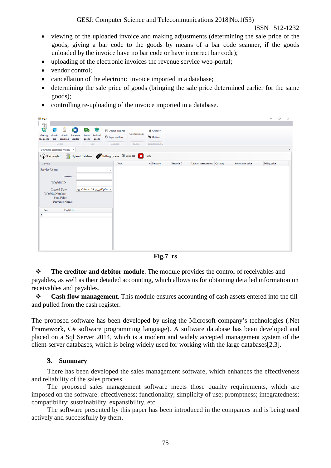- viewing of the uploaded invoice and making adjustments (determining the sale price of the goods, giving a bar code to the goods by means of a bar code scanner, if the goods unloaded by the invoice have no bar code or have incorrect bar code);
- uploading of the electronic invoices the revenue service web-portal;
- vendor control;
- cancellation of the electronic invoice imported in a database;
- determining the sale price of goods (bringing the sale price determined earlier for the same goods);
- controlling re-uploading of the invoice imported in a database.

| all Main                                                                                          |                                       |                                                                |               |                        |           |                               |                  | -             | ο<br>$\times$ |
|---------------------------------------------------------------------------------------------------|---------------------------------------|----------------------------------------------------------------|---------------|------------------------|-----------|-------------------------------|------------------|---------------|---------------|
| $\frac{panel}{p}$                                                                                 |                                       |                                                                |               |                        |           |                               |                  |               |               |
| Ä<br>鱼<br>G<br>$\blacktriangleright$                                                              | 穹<br>V.                               | <sup>(14</sup> ) Output cashbox                                | Goods remains | * Creditors            |           |                               |                  |               |               |
| Goods<br>Getting<br>Goods<br>Revenue<br>$\mathop{\mathrm{list}}$<br>received Service<br>the goods | Sale of<br>Realized<br>goods<br>goods | $\textcircled{f4}$ Input cashbox                               |               | <sup>6</sup> K Debtors |           |                               |                  |               |               |
| Goods                                                                                             | Sale                                  | Cashbox                                                        | Balances      | creditors and          |           |                               |                  |               |               |
| Download Electronic waybill $~\times~$                                                            |                                       |                                                                |               |                        |           |                               |                  |               | $\mathbb X$   |
| Get waybill                                                                                       |                                       | Upload Database <b>CO</b> Selling prices <b>&amp;</b> Barcodes | X Close       |                        |           |                               |                  |               |               |
| Waybill                                                                                           |                                       | Good                                                           |               | $\triangle$ Barcode    | Barcode 2 | Units of measurement Quantity | Acceptance price | Selling price |               |
| Service Users:                                                                                    |                                       | $\checkmark$                                                   |               |                        |           |                               |                  |               |               |
|                                                                                                   |                                       |                                                                |               |                        |           |                               |                  |               |               |
| Password:                                                                                         |                                       |                                                                |               |                        |           |                               |                  |               |               |
| Waybill ID:                                                                                       |                                       |                                                                |               |                        |           |                               |                  |               |               |
| <b>Created Date:</b>                                                                              | ხუთშაბათი, 14 დეკემბერი , ∨           |                                                                |               |                        |           |                               |                  |               |               |
| Waybill Number:                                                                                   |                                       |                                                                |               |                        |           |                               |                  |               |               |
| <b>Sum Price:</b>                                                                                 |                                       |                                                                |               |                        |           |                               |                  |               |               |
| Provider Name:                                                                                    |                                       |                                                                |               |                        |           |                               |                  |               |               |
| Waybill ID<br>Date                                                                                |                                       |                                                                |               |                        |           |                               |                  |               |               |
| $\mathbf{P}$                                                                                      |                                       |                                                                |               |                        |           |                               |                  |               |               |
|                                                                                                   |                                       |                                                                |               |                        |           |                               |                  |               |               |
|                                                                                                   |                                       |                                                                |               |                        |           |                               |                  |               |               |
|                                                                                                   |                                       |                                                                |               |                        |           |                               |                  |               |               |
|                                                                                                   |                                       |                                                                |               |                        |           |                               |                  |               |               |
|                                                                                                   |                                       |                                                                |               |                        |           |                               |                  |               |               |
|                                                                                                   |                                       |                                                                |               |                        |           |                               |                  |               |               |
|                                                                                                   |                                       |                                                                |               |                        |           |                               |                  |               |               |

**Fig.7 rs**

 **The creditor and debitor module**. The module provides the control of receivables and payables, as well as their detailed accounting, which allows us for obtaining detailed information on receivables and payables.

 **Cash flow management**. This module ensures accounting of cash assets entered into the till and pulled from the cash register.

The proposed software has been developed by using the Microsoft company's technologies (.Net Framework, C# software programming language). A software database has been developed and placed on a Sql Server 2014, which is a modern and widely accepted management system of the client-server databases, which is being widely used for working with the large databases[2,3].

# 3. **Summary**

There has been developed the sales management software, which enhances the effectiveness and reliability of the sales process.

The proposed sales management software meets those quality requirements, which are imposed on the software: effectiveness; functionality; simplicity of use; promptness; integratedness; compatibility; sustainability, expansibility, etc.

The software presented by this paper has been introduced in the companies and is being used actively and successfully by them.